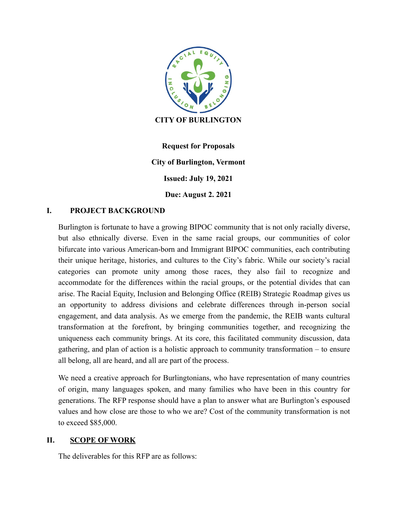

**Request for Proposals City of Burlington, Vermont Issued: July 19, 2021 Due: August 2. 2021**

#### **I. PROJECT BACKGROUND**

Burlington is fortunate to have a growing BIPOC community that is not only racially diverse, but also ethnically diverse. Even in the same racial groups, our communities of color bifurcate into various American-born and Immigrant BIPOC communities, each contributing their unique heritage, histories, and cultures to the City's fabric. While our society's racial categories can promote unity among those races, they also fail to recognize and accommodate for the differences within the racial groups, or the potential divides that can arise. The Racial Equity, Inclusion and Belonging Office (REIB) Strategic Roadmap gives us an opportunity to address divisions and celebrate differences through in-person social engagement, and data analysis. As we emerge from the pandemic, the REIB wants cultural transformation at the forefront, by bringing communities together, and recognizing the uniqueness each community brings. At its core, this facilitated community discussion, data gathering, and plan of action is a holistic approach to community transformation – to ensure all belong, all are heard, and all are part of the process.

We need a creative approach for Burlingtonians, who have representation of many countries of origin, many languages spoken, and many families who have been in this country for generations. The RFP response should have a plan to answer what are Burlington's espoused values and how close are those to who we are? Cost of the community transformation is not to exceed \$85,000.

#### **II. SCOPE OF WORK**

The deliverables for this RFP are as follows: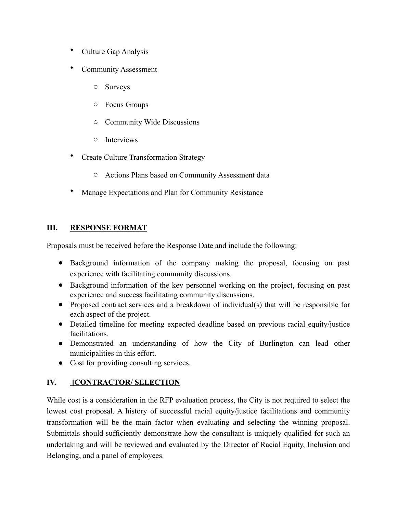- Culture Gap Analysis
- Community Assessment
	- o Surveys
	- o Focus Groups
	- o Community Wide Discussions
	- o Interviews
- Create Culture Transformation Strategy
	- o Actions Plans based on Community Assessment data
- Manage Expectations and Plan for Community Resistance

#### **III. RESPONSE FORMAT**

Proposals must be received before the Response Date and include the following:

- Background information of the company making the proposal, focusing on past experience with facilitating community discussions.
- Background information of the key personnel working on the project, focusing on past experience and success facilitating community discussions.
- Proposed contract services and a breakdown of individual(s) that will be responsible for each aspect of the project.
- Detailed timeline for meeting expected deadline based on previous racial equity/justice facilitations.
- Demonstrated an understanding of how the City of Burlington can lead other municipalities in this effort.
- Cost for providing consulting services.

# **IV. [CONTRACTOR/ SELECTION**

While cost is a consideration in the RFP evaluation process, the City is not required to select the lowest cost proposal. A history of successful racial equity/justice facilitations and community transformation will be the main factor when evaluating and selecting the winning proposal. Submittals should sufficiently demonstrate how the consultant is uniquely qualified for such an undertaking and will be reviewed and evaluated by the Director of Racial Equity, Inclusion and Belonging, and a panel of employees.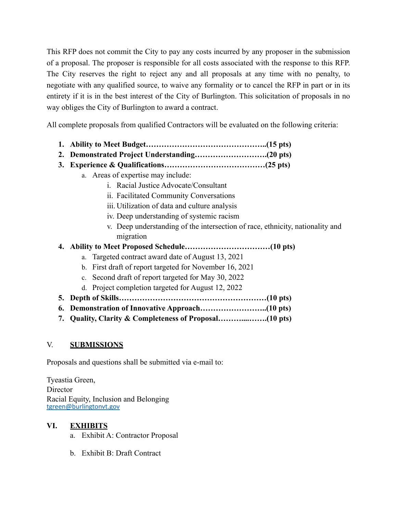This RFP does not commit the City to pay any costs incurred by any proposer in the submission of a proposal. The proposer is responsible for all costs associated with the response to this RFP. The City reserves the right to reject any and all proposals at any time with no penalty, to negotiate with any qualified source, to waive any formality or to cancel the RFP in part or in its entirety if it is in the best interest of the City of Burlington. This solicitation of proposals in no way obliges the City of Burlington to award a contract.

All complete proposals from qualified Contractors will be evaluated on the following criteria:

- **1. Ability to Meet Budget………………………………………..(15 pts)**
- **2. Demonstrated Project Understanding……………………….(20 pts)**
- **3. Experience & Qualifications…………………………………(25 pts)**
	- a. Areas of expertise may include:
		- i. Racial Justice Advocate/Consultant
		- ii. Facilitated Community Conversations
		- iii. Utilization of data and culture analysis
		- iv. Deep understanding of systemic racism
		- v. Deep understanding of the intersection of race, ethnicity, nationality and migration
- **4. Ability to Meet Proposed Schedule……………………………(10 pts)**
	- a. Targeted contract award date of August 13, 2021
	- b. First draft of report targeted for November 16, 2021
	- c. Second draft of report targeted for May 30, 2022
	- d. Project completion targeted for August 12, 2022
- **5. Depth of Skills…………………………………………………(10 pts)**
- **6. Demonstration of Innovative Approach……………………..(10 pts)**
- **7. Quality, Clarity & Completeness of Proposal………....…….(10 pts)**

# V. **SUBMISSIONS**

Proposals and questions shall be submitted via e-mail to:

Tyeastia Green, Director Racial Equity, Inclusion and Belonging [tgreen@burlingtonvt.gov](mailto:tgreen@burlingtonvt.gov)

# **VI. EXHIBITS**

- a. Exhibit A: Contractor Proposal
- b. Exhibit B: Draft Contract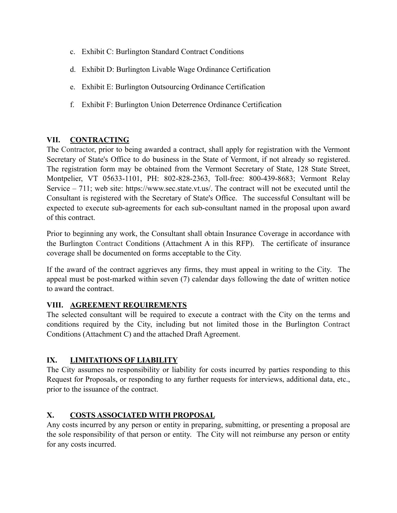- c. Exhibit C: Burlington Standard Contract Conditions
- d. Exhibit D: Burlington Livable Wage Ordinance Certification
- e. Exhibit E: Burlington Outsourcing Ordinance Certification
- f. Exhibit F: Burlington Union Deterrence Ordinance Certification

#### **VII. CONTRACTING**

The Contractor, prior to being awarded a contract, shall apply for registration with the Vermont Secretary of State's Office to do business in the State of Vermont, if not already so registered. The registration form may be obtained from the Vermont Secretary of State, 128 State Street, Montpelier, VT 05633-1101, PH: 802-828-2363, Toll-free: 800-439-8683; Vermont Relay Service – 711; web site:<https://www.sec.state.vt.us/>. The contract will not be executed until the Consultant is registered with the Secretary of State's Office. The successful Consultant will be expected to execute sub-agreements for each sub-consultant named in the proposal upon award of this contract.

Prior to beginning any work, the Consultant shall obtain Insurance Coverage in accordance with the Burlington Contract Conditions (Attachment A in this RFP). The certificate of insurance coverage shall be documented on forms acceptable to the City.

If the award of the contract aggrieves any firms, they must appeal in writing to the City. The appeal must be post-marked within seven (7) calendar days following the date of written notice to award the contract.

# **VIII. AGREEMENT REQUIREMENTS**

The selected consultant will be required to execute a contract with the City on the terms and conditions required by the City, including but not limited those in the Burlington Contract Conditions (Attachment C) and the attached Draft Agreement.

# **IX. LIMITATIONS OF LIABILITY**

The City assumes no responsibility or liability for costs incurred by parties responding to this Request for Proposals, or responding to any further requests for interviews, additional data, etc., prior to the issuance of the contract.

# **X. COSTS ASSOCIATED WITH PROPOSAL**

Any costs incurred by any person or entity in preparing, submitting, or presenting a proposal are the sole responsibility of that person or entity. The City will not reimburse any person or entity for any costs incurred.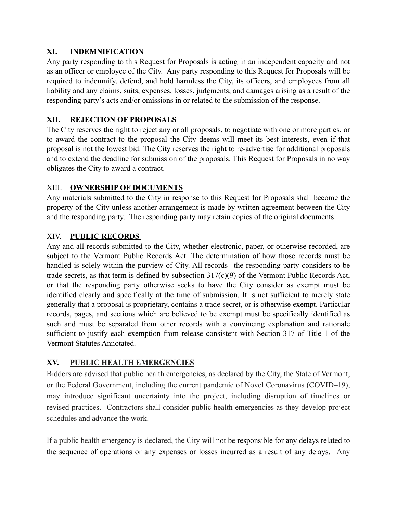#### **XI. INDEMNIFICATION**

Any party responding to this Request for Proposals is acting in an independent capacity and not as an officer or employee of the City. Any party responding to this Request for Proposals will be required to indemnify, defend, and hold harmless the City, its officers, and employees from all liability and any claims, suits, expenses, losses, judgments, and damages arising as a result of the responding party's acts and/or omissions in or related to the submission of the response.

# **XII. REJECTION OF PROPOSALS**

The City reserves the right to reject any or all proposals, to negotiate with one or more parties, or to award the contract to the proposal the City deems will meet its best interests, even if that proposal is not the lowest bid. The City reserves the right to re-advertise for additional proposals and to extend the deadline for submission of the proposals. This Request for Proposals in no way obligates the City to award a contract.

# XIII. **OWNERSHIP OF DOCUMENTS**

Any materials submitted to the City in response to this Request for Proposals shall become the property of the City unless another arrangement is made by written agreement between the City and the responding party. The responding party may retain copies of the original documents.

#### XIV. **PUBLIC RECORDS**

Any and all records submitted to the City, whether electronic, paper, or otherwise recorded, are subject to the Vermont Public Records Act. The determination of how those records must be handled is solely within the purview of City. All records the responding party considers to be trade secrets, as that term is defined by subsection 317(c)(9) of the Vermont Public Records Act, or that the responding party otherwise seeks to have the City consider as exempt must be identified clearly and specifically at the time of submission. It is not sufficient to merely state generally that a proposal is proprietary, contains a trade secret, or is otherwise exempt. Particular records, pages, and sections which are believed to be exempt must be specifically identified as such and must be separated from other records with a convincing explanation and rationale sufficient to justify each exemption from release consistent with Section 317 of Title 1 of the Vermont Statutes Annotated.

#### **XV. PUBLIC HEALTH EMERGENCIES**

Bidders are advised that public health emergencies, as declared by the City, the State of Vermont, or the Federal Government, including the current pandemic of Novel Coronavirus (COVID–19), may introduce significant uncertainty into the project, including disruption of timelines or revised practices. Contractors shall consider public health emergencies as they develop project schedules and advance the work.

If a public health emergency is declared, the City will not be responsible for any delays related to the sequence of operations or any expenses or losses incurred as a result of any delays. Any